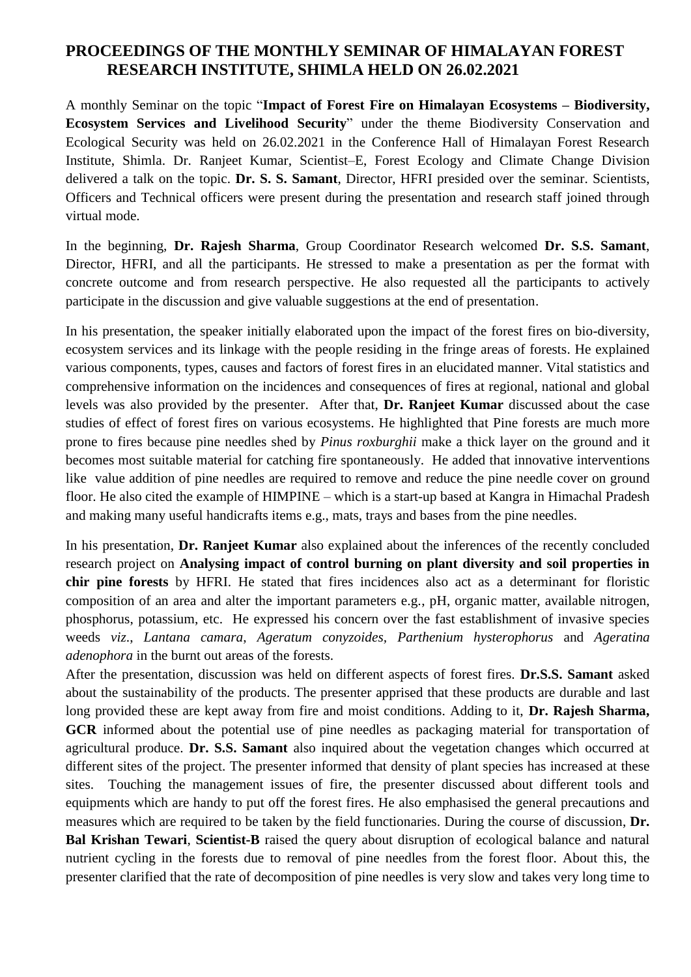## **PROCEEDINGS OF THE MONTHLY SEMINAR OF HIMALAYAN FOREST RESEARCH INSTITUTE, SHIMLA HELD ON 26.02.2021**

A monthly Seminar on the topic "**Impact of Forest Fire on Himalayan Ecosystems – Biodiversity, Ecosystem Services and Livelihood Security**" under the theme Biodiversity Conservation and Ecological Security was held on 26.02.2021 in the Conference Hall of Himalayan Forest Research Institute, Shimla. Dr. Ranjeet Kumar, Scientist–E, Forest Ecology and Climate Change Division delivered a talk on the topic. **Dr. S. S. Samant**, Director, HFRI presided over the seminar. Scientists, Officers and Technical officers were present during the presentation and research staff joined through virtual mode.

In the beginning, **Dr. Rajesh Sharma**, Group Coordinator Research welcomed **Dr. S.S. Samant**, Director, HFRI, and all the participants. He stressed to make a presentation as per the format with concrete outcome and from research perspective. He also requested all the participants to actively participate in the discussion and give valuable suggestions at the end of presentation.

In his presentation, the speaker initially elaborated upon the impact of the forest fires on bio-diversity, ecosystem services and its linkage with the people residing in the fringe areas of forests. He explained various components, types, causes and factors of forest fires in an elucidated manner. Vital statistics and comprehensive information on the incidences and consequences of fires at regional, national and global levels was also provided by the presenter. After that, **Dr. Ranjeet Kumar** discussed about the case studies of effect of forest fires on various ecosystems. He highlighted that Pine forests are much more prone to fires because pine needles shed by *Pinus roxburghii* make a thick layer on the ground and it becomes most suitable material for catching fire spontaneously. He added that innovative interventions like value addition of pine needles are required to remove and reduce the pine needle cover on ground floor. He also cited the example of HIMPINE – which is a start-up based at Kangra in Himachal Pradesh and making many useful handicrafts items e.g., mats, trays and bases from the pine needles.

In his presentation, **Dr. Ranjeet Kumar** also explained about the inferences of the recently concluded research project on **Analysing impact of control burning on plant diversity and soil properties in chir pine forests** by HFRI. He stated that fires incidences also act as a determinant for floristic composition of an area and alter the important parameters e.g., pH, organic matter, available nitrogen, phosphorus, potassium, etc. He expressed his concern over the fast establishment of invasive species weeds *viz*., *Lantana camara*, *Ageratum conyzoides, Parthenium hysterophorus* and *Ageratina adenophora* in the burnt out areas of the forests.

After the presentation, discussion was held on different aspects of forest fires. **Dr.S.S. Samant** asked about the sustainability of the products. The presenter apprised that these products are durable and last long provided these are kept away from fire and moist conditions. Adding to it, **Dr. Rajesh Sharma, GCR** informed about the potential use of pine needles as packaging material for transportation of agricultural produce. **Dr. S.S. Samant** also inquired about the vegetation changes which occurred at different sites of the project. The presenter informed that density of plant species has increased at these sites. Touching the management issues of fire, the presenter discussed about different tools and equipments which are handy to put off the forest fires. He also emphasised the general precautions and measures which are required to be taken by the field functionaries. During the course of discussion, **Dr. Bal Krishan Tewari**, **Scientist-B** raised the query about disruption of ecological balance and natural nutrient cycling in the forests due to removal of pine needles from the forest floor. About this, the presenter clarified that the rate of decomposition of pine needles is very slow and takes very long time to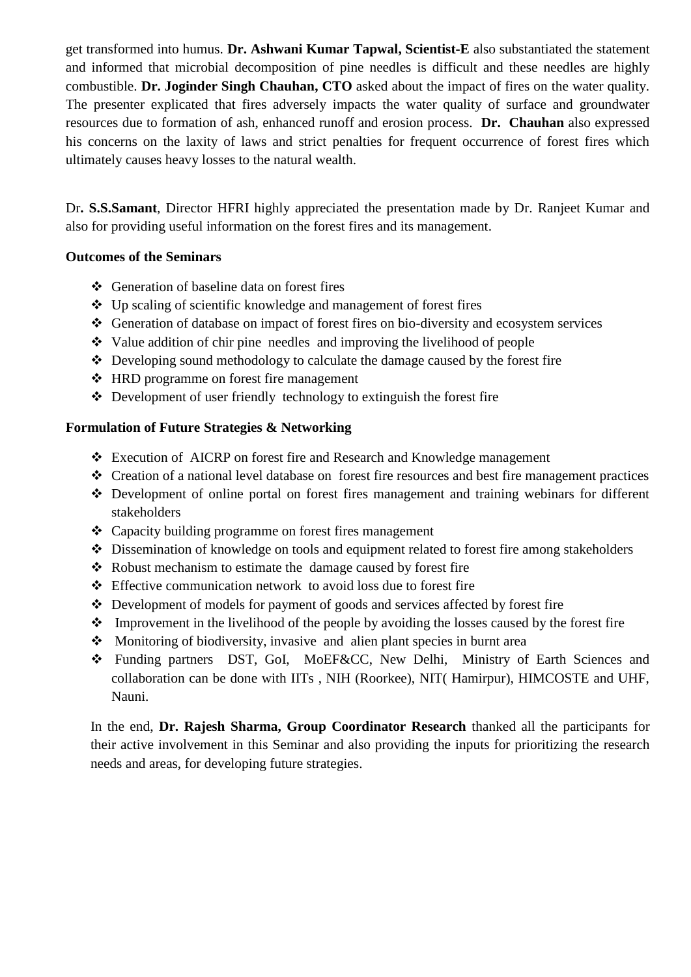get transformed into humus. **Dr. Ashwani Kumar Tapwal, Scientist-E** also substantiated the statement and informed that microbial decomposition of pine needles is difficult and these needles are highly combustible. **Dr. Joginder Singh Chauhan, CTO** asked about the impact of fires on the water quality. The presenter explicated that fires adversely impacts the water quality of surface and groundwater resources due to formation of ash, enhanced runoff and erosion process. **Dr. Chauhan** also expressed his concerns on the laxity of laws and strict penalties for frequent occurrence of forest fires which ultimately causes heavy losses to the natural wealth.

Dr**. S.S.Samant**, Director HFRI highly appreciated the presentation made by Dr. Ranjeet Kumar and also for providing useful information on the forest fires and its management.

## **Outcomes of the Seminars**

- Generation of baseline data on forest fires
- $\triangle$  Up scaling of scientific knowledge and management of forest fires
- Generation of database on impact of forest fires on bio-diversity and ecosystem services
- $\triangleleft$  Value addition of chir pine needles and improving the livelihood of people
- Developing sound methodology to calculate the damage caused by the forest fire
- HRD programme on forest fire management
- $\triangle$  Development of user friendly technology to extinguish the forest fire

## **Formulation of Future Strategies & Networking**

- Execution of AICRP on forest fire and Research and Knowledge management
- Creation of a national level database on forest fire resources and best fire management practices
- Development of online portal on forest fires management and training webinars for different stakeholders
- Capacity building programme on forest fires management
- Dissemination of knowledge on tools and equipment related to forest fire among stakeholders
- \* Robust mechanism to estimate the damage caused by forest fire
- Effective communication network to avoid loss due to forest fire
- Development of models for payment of goods and services affected by forest fire
- $\cdot \cdot$  Improvement in the livelihood of the people by avoiding the losses caused by the forest fire
- Monitoring of biodiversity, invasive and alien plant species in burnt area
- Funding partners DST, GoI, MoEF&CC, New Delhi, Ministry of Earth Sciences and collaboration can be done with IITs , NIH (Roorkee), NIT( Hamirpur), HIMCOSTE and UHF, Nauni.

In the end, **Dr. Rajesh Sharma, Group Coordinator Research** thanked all the participants for their active involvement in this Seminar and also providing the inputs for prioritizing the research needs and areas, for developing future strategies.